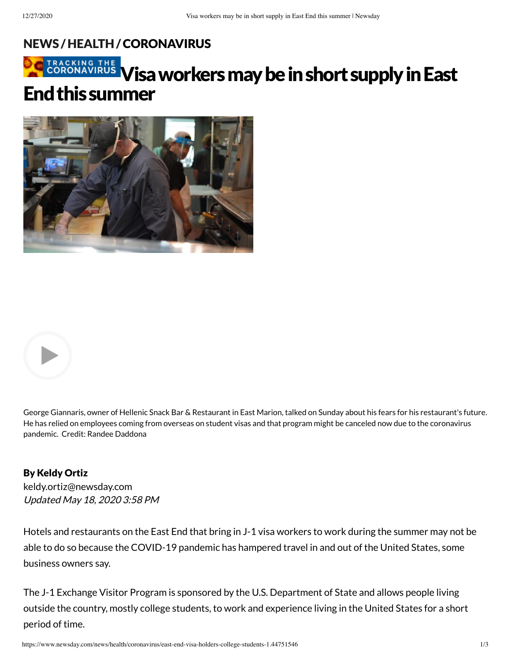### [NEWS](https://www.newsday.com/news) /[HEALTH/](https://www.newsday.com/news/health)[CORONAVIRUS](https://www.newsday.com/news/health/coronavirus)







George Giannaris, owner of Hellenic Snack Bar & Restaurant in East Marion, talked on Sunday about his fears for his restaurant's future. He has relied on employees coming from overseas on student visas and that program might be canceled now due to the coronavirus pandemic. Credit: Randee Daddona

## By Keldy Ortiz

Updated May 18, 2020 3:58 PM [keldy.ortiz@newsday.com](mailto:keldy.ortiz@newsday.com?subject=Visa%20workers%20may%20be%20in%20short%20supply%20in%20East%20End%20this%20summer&body=Hotels%20and%20restaurants%20on%20the%20East%20End%20that%20bring%20in%20J-1%20visa%20workers%20to%20work%20during%20the%20summer%20may%20not%20be%20able%20to%20do%20so%20because%20the%20COVID-19%20pandemic%20has%20hampered%20travel%20in%20and%20out%20of%20the%20United%20Stat%0D%0Ahttps://www.newsday.com/news/health/coronavirus/east-end-visa-holders-college-students-1.44751546)

Hotels and restaurants on the East End that bring in J-1 visa workers to work during the summer may not be able to do so because the COVID-19 pandemic has hampered travel in and out of the United States, some business owners say.

The J-1 Exchange Visitor Program is sponsored by the U.S. Department of State and allows people living outside the country, mostly college students, to work and experience living in the United States for a short period of time.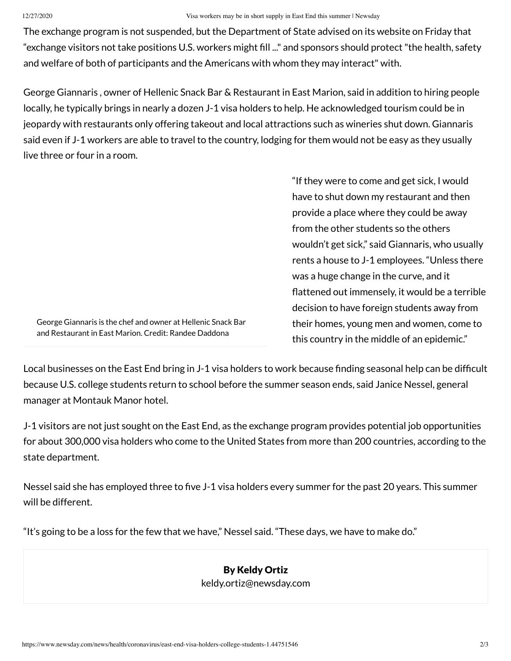#### 12/27/2020 Visa workers may be in short supply in East End this summer | Newsday

The exchange program is not suspended, but the Department of State advised on its website on Friday that "exchange visitors not take positions U.S. workers might fill ..." and sponsors should protect "the health, safety and welfare of both of participants and the Americans with whom they may interact" with.

George Giannaris , owner of Hellenic Snack Bar & Restaurant in East Marion, said in addition to hiring people locally, he typically brings in nearly a dozen J-1 visa holders to help. He acknowledged tourism could be in jeopardy with restaurants only offering takeout and local attractions such as wineries shut down. Giannaris said even if J-1 workers are able to travel to the country, lodging for them would not be easy as they usually live three or four in a room.

George Giannaris is the chef and owner at Hellenic Snack Bar and Restaurant in East Marion. Credit: Randee Daddona

"If they were to come and get sick, I would have to shut down my restaurant and then provide a place where they could be away from the other students so the others wouldn't get sick," said Giannaris, who usually rents a house to J-1 employees. "Unless there was a huge change in the curve, and it flattened out immensely, it would be a terrible decision to have foreign students away from their homes, young men and women, come to this country in the middle of an epidemic."

Local businesses on the East End bring in J-1 visa holders to work because finding seasonal help can be difficult because U.S. college students return to school before the summer season ends, said Janice Nessel, general manager at Montauk Manor hotel.

J-1 visitors are not just sought on the East End, as the exchange program provides potential job opportunities for about 300,000 visa holders who come to the United States from more than 200 countries, according to the state department.

Nessel said she has employed three to five J-1 visa holders every summer for the past 20 years. This summer will be different.

"It's going to be a loss for the few that we have," Nessel said. "These days, we have to make do."

### By Keldy Ortiz [keldy.ortiz@newsday.com](mailto:keldy.ortiz@newsday.com?subject=Visa%20workers%20may%20be%20in%20short%20supply%20in%20East%20End%20this%20summer&body=Hotels%20and%20restaurants%20on%20the%20East%20End%20that%20bring%20in%20J-1%20visa%20workers%20to%20work%20during%20the%20summer%20may%20not%20be%20able%20to%20do%20so%20because%20the%20COVID-19%20pandemic%20has%20hampered%20travel%20in%20and%20out%20of%20the%20United%20Stat%0D%0Ahttps://www.newsday.com/news/health/coronavirus/east-end-visa-holders-college-students-1.44751546)